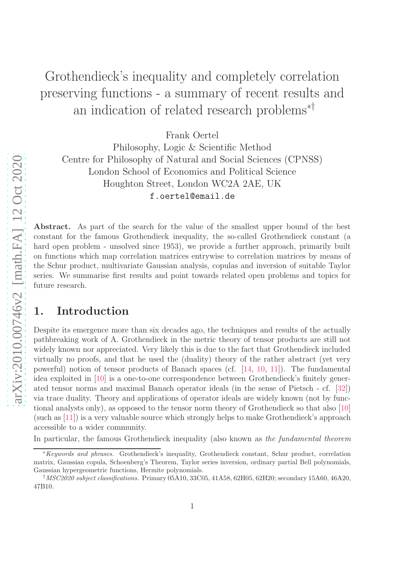# Grothendieck's inequality and completely correlation preserving functions - a summary of recent results and an indication of related research problems∗†

Frank Oertel

Philosophy, Logic & Scientific Method Centre for Philosophy of Natural and Social Sciences (CPNSS) London School of Economics and Political Science Houghton Street, London WC2A 2AE, UK f.oertel@email.de

Abstract. As part of the search for the value of the smallest upper bound of the best constant for the famous Grothendieck inequality, the so-called Grothendieck constant (a hard open problem - unsolved since 1953), we provide a further approach, primarily built on functions which map correlation matrices entrywise to correlation matrices by means of the Schur product, multivariate Gaussian analysis, copulas and inversion of suitable Taylor series. We summarise first results and point towards related open problems and topics for future research.

### 1. Introduction

Despite its emergence more than six decades ago, the techniques and results of the actually pathbreaking work of A. Grothendieck in the metric theory of tensor products are still not widely known nor appreciated. Very likely this is due to the fact that Grothendieck included virtually no proofs, and that he used the (duality) theory of the rather abstract (yet very powerful) notion of tensor products of Banach spaces (cf. [\[14,](#page-18-0) [10,](#page-18-1) [11\]](#page-18-2)). The fundamental idea exploited in [\[10\]](#page-18-1) is a one-to-one correspondence between Grothendieck's finitely generated tensor norms and maximal Banach operator ideals (in the sense of Pietsch - cf. [\[32\]](#page-19-0)) via trace duality. Theory and applications of operator ideals are widely known (not by functional analysts only), as opposed to the tensor norm theory of Grothendieck so that also [\[10\]](#page-18-1) (such as [\[11\]](#page-18-2)) is a very valuable source which strongly helps to make Grothendieck's approach accessible to a wider community.

In particular, the famous Grothendieck inequality (also known as the fundamental theorem

<sup>∗</sup>Keywords and phrases. Grothendieck's inequality, Grothendieck constant, Schur product, correlation matrix, Gaussian copula, Schoenberg's Theorem, Taylor series inversion, ordinary partial Bell polynomials, Gaussian hypergeometric functions, Hermite polynomials.

<sup>&</sup>lt;sup>†</sup>MSC2020 subject classifications. Primary 05A10, 33C05, 41A58, 62H05, 62H20; secondary 15A60, 46A20, 47B10.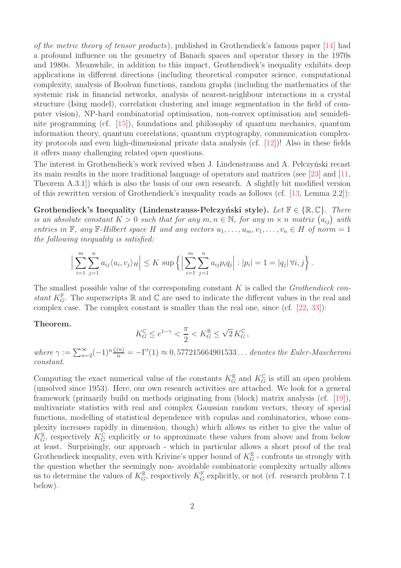of the metric theory of tensor products), published in Grothendieck's famous paper [\[14\]](#page-18-0) had a profound influence on the geometry of Banach spaces and operator theory in the 1970s and 1980s. Meanwhile, in addition to this impact, Grothendieck's inequality exhibits deep applications in different directions (including theoretical computer science, computational complexity, analysis of Boolean functions, random graphs (including the mathematics of the systemic risk in financial networks, analysis of nearest-neighbour interactions in a crystal structure (Ising model), correlation clustering and image segmentation in the field of computer vision), NP-hard combinatorial optimisation, non-convex optimisation and semidefinite programming (cf. [\[15\]](#page-18-3)), foundations and philosophy of quantum mechanics, quantum information theory, quantum correlations, quantum cryptography, communication complexity protocols and even high-dimensional private data analysis (cf. [\[12\]](#page-18-4))! Also in these fields it offers many challenging related open questions.

The interest in Grothendieck's work revived when J. Lindenstrauss and A. Pelczyński recast its main results in the more traditional language of operators and matrices (see [\[23\]](#page-18-5) and [\[11,](#page-18-2) Theorem A.3.1]) which is also the basis of our own research. A slightly bit modified version of this rewritten version of Grothendieck's inequality reads as follows (cf. [\[13,](#page-18-6) Lemma 2.2]):

Grothendieck's Inequality (Lindenstrauss-Pełczyński style). Let  $\mathbb{F} \in \{ \mathbb{R}, \mathbb{C} \}$ . There is an absolute constant  $K > 0$  such that for any  $m, n \in \mathbb{N}$ , for any  $m \times n$  matrix  $(a_{ij})$  with entries in F, any F-Hilbert space H and any vectors  $u_1, \ldots, u_m, v_1, \ldots, v_n \in H$  of norm = 1 the following inequality is satisfied:

$$
\Big|\sum_{i=1}^m \sum_{j=1}^n a_{ij} \langle u_i, v_j \rangle_H \Big| \leq K \sup \Big\{ \Big| \sum_{i=1}^m \sum_{j=1}^n a_{ij} p_i q_j \Big| : |p_i| = 1 = |q_j| \, \forall i, j \Big\} \, .
$$

The smallest possible value of the corresponding constant  $K$  is called the *Grothendieck con*stant  $K_G^{\mathbb{F}}$ . The superscripts  $\mathbb R$  and  $\mathbb C$  are used to indicate the different values in the real and complex case. The complex constant is smaller than the real one, since (cf. [\[22,](#page-18-7) [33\]](#page-19-1)):

#### Theorem.

$$
K_G^{\mathbb{C}} \leq e^{1-\gamma} < \frac{\pi}{2} < K_G^{\mathbb{R}} \leq \sqrt{2} \, K_G^{\mathbb{C}} \, ,
$$

where  $\gamma := \sum_{n=2}^{\infty} (-1)^n \frac{\zeta(n)}{n} = -\Gamma'(1) \approx 0,577215664901533...$  denotes the Euler-Mascheroni constant.

Computing the exact numerical value of the constants  $K_G^{\mathbb{R}}$  and  $K_G^{\mathbb{C}}$  is still an open problem (unsolved since 1953). Here, our own research activities are attached. We look for a general framework (primarily build on methods originating from (block) matrix analysis (cf. [\[19\]](#page-18-8)), multivariate statistics with real and complex Gaussian random vectors, theory of special functions, modelling of statistical dependence with copulas and combinatorics, whose complexity increases rapidly in dimension, though) which allows us either to give the value of  $K_G^{\mathbb{R}}$ , respectively  $K_G^{\mathbb{C}}$  explicitly or to approximate these values from above and from below at least. Surprisingly, our approach - which in particular allows a short proof of the real Grothendieck inequality, even with Krivine's upper bound of  $K_G^{\mathbb{R}}$  - confronts us strongly with the question whether the seemingly non- avoidable combinatoric complexity actually allows us to determine the values of  $K_G^{\mathbb{R}}$ , respectively  $K_G^{\mathbb{F}}$  explicitly, or not (cf. research problem 7.1) below).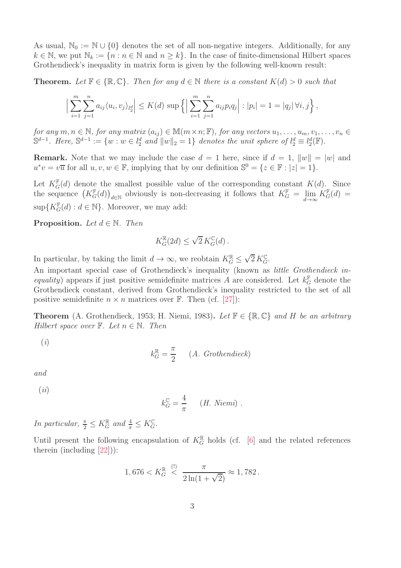As usual,  $\mathbb{N}_0 := \mathbb{N} \cup \{0\}$  denotes the set of all non-negative integers. Additionally, for any  $k \in \mathbb{N}$ , we put  $\mathbb{N}_k := \{n : n \in \mathbb{N} \text{ and } n \geq k\}$ . In the case of finite-dimensional Hilbert spaces Grothendieck's inequality in matrix form is given by the following well-known result:

**Theorem.** Let  $\mathbb{F} \in \{ \mathbb{R}, \mathbb{C} \}$ . Then for any  $d \in \mathbb{N}$  there is a constant  $K(d) > 0$  such that

$$
\Big|\sum_{i=1}^m \sum_{j=1}^n a_{ij} \langle u_i, v_j \rangle_{l_2^d} \Big| \le K(d) \sup \Big\{ \Big| \sum_{i=1}^m \sum_{j=1}^n a_{ij} p_i q_j \Big| : |p_i| = 1 = |q_j| \, \forall i, j \Big\} \, ,
$$

for any  $m, n \in \mathbb{N}$ , for any matrix  $(a_{ij}) \in \mathbb{M}(m \times n; \mathbb{F})$ , for any vectors  $u_1, \ldots, u_m, v_1, \ldots, v_n \in$  $\mathbb{S}^{d-1}$ . Here,  $\mathbb{S}^{d-1} := \{w : w \in l_2^d \text{ and } ||w||_2 = 1\}$  denotes the unit sphere of  $l_2^d \equiv l_2^d(\mathbb{F})$ .

**Remark.** Note that we may include the case  $d = 1$  here, since if  $d = 1$ ,  $||w|| = |w|$  and  $u^*v = v\overline{u}$  for all  $u, v, w \in \mathbb{F}$ , implying that by our definition  $\mathbb{S}^0 = \{z \in \mathbb{F} : |z| = 1\}.$ 

Let  $K_G^{\mathbb{F}}(d)$  denote the smallest possible value of the corresponding constant  $K(d)$ . Since the sequence  $(K_G^{\mathbb{F}}(d))_{d \in \mathbb{N}}$  obviously is non-decreasing it follows that  $K_G^{\mathbb{F}} = \lim_{d \to \infty}$  $K_G^{\mathbb{F}}(d) =$  $\sup\{K_G^{\mathbb{F}}(d) : d \in \mathbb{N}\}\.$  Moreover, we may add:

**Proposition.** Let  $d \in \mathbb{N}$ . Then

$$
K_G^{\mathbb{R}}(2d) \le \sqrt{2} K_G^{\mathbb{C}}(d) .
$$

In particular, by taking the limit  $d \to \infty$ , we reobtain  $K_G^{\mathbb{R}} \leq$  $\sqrt{2} K_G^{\mathbb{C}}$ .

k

An important special case of Grothendieck's inequality (known as *little Grothendieck in*equality) appears if just positive semidefinite matrices A are considered. Let  $k_G^{\mathbb{F}}$  denote the Grothendieck constant, derived from Grothendieck's inequality restricted to the set of all positive semidefinite  $n \times n$  matrices over F. Then (cf. [\[27\]](#page-19-2)):

**Theorem** (A. Grothendieck, 1953; H. Niemi, 1983). Let  $\mathbb{F} \in \{\mathbb{R}, \mathbb{C}\}$  and H be an arbitrary Hilbert space over  $\mathbb{F}$ . Let  $n \in \mathbb{N}$ . Then

(i)

$$
k_G^{\mathbb{R}} = \frac{\pi}{2} \qquad (A. \; Grothendieck)
$$

and

 $(ii)$ 

$$
k_G^{\mathbb{C}} = \frac{4}{\pi} \qquad (H. \; Niemi) \; .
$$

In particular,  $\frac{\pi}{2} \leq K_G^{\mathbb{R}}$  and  $\frac{4}{\pi} \leq K_G^{\mathbb{C}}$ .

Until present the following encapsulation of  $K_G^{\mathbb{R}}$  holds (cf. [\[6\]](#page-17-0) and the related references therein (including [\[22\]](#page-18-7))):

$$
1,676 < K_G^{\mathbb{R}} \overset{(!)}{<} \frac{\pi}{2\ln(1+\sqrt{2})} \approx 1,782.
$$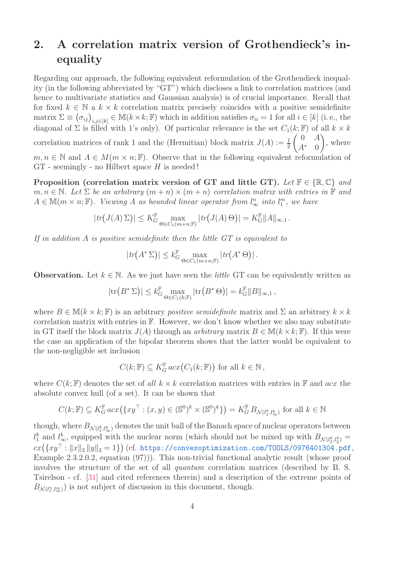## 2. A correlation matrix version of Grothendieck's inequality

Regarding our approach, the following equivalent reformulation of the Grothendieck inequality (in the following abbreviated by "GT") which discloses a link to correlation matrices (and hence to multivariate statistics and Gaussian analysis) is of crucial importance. Recall that for fixed  $k \in \mathbb{N}$  a  $k \times k$  correlation matrix precisely coincides with a positive semidefinite matrix  $\Sigma \equiv (\sigma_{ij})_{i,j \in [k]} \in M(k \times k; \mathbb{F})$  which in addition satisfies  $\sigma_{ii} = 1$  for all  $i \in [k]$  (i.e., the diagonal of  $\Sigma$  is filled with 1's only). Of particular relevance is the set  $C_1(k;\mathbb{F})$  of all  $k \times k$ correlation matrices of rank 1 and the (Hermitian) block matrix  $J(A) := \frac{1}{2}$  $\begin{pmatrix} 0 & A \end{pmatrix}$  $A^*$  0  $\setminus$ , where  $m, n \in \mathbb{N}$  and  $A \in M(m \times n; \mathbb{F})$ . Observe that in the following equivalent reformulation of  $GT$  - seemingly - no Hilbert space  $H$  is needed!

Proposition (correlation matrix version of GT and little GT). Let  $\mathbb{F} \in \{ \mathbb{R}, \mathbb{C} \}$  and  $m, n \in \mathbb{N}$ . Let  $\Sigma$  be an arbitrary  $(m+n) \times (m+n)$  correlation matrix with entries in  $\mathbb{F}$  and  $A \in \mathbb{M}(m \times n; \mathbb{F})$ . Viewing A as bounded linear operator from  $l_{\infty}^n$  into  $l_1^m$ , we have

$$
|tr(J(A)\Sigma)| \leq K_G^{\mathbb{F}} \max_{\Theta \in C_1(m+n;\mathbb{F})} |tr(J(A)\Theta)| = K_G^{\mathbb{F}} ||A||_{\infty,1}.
$$

If in addition A is positive semidefinite then the little  $GT$  is equivalent to

$$
|tr(A^* \Sigma)| \leq k_G^{\mathbb{F}} \max_{\Theta \in C_1(m+n; \mathbb{F})} |tr(A^* \Theta)|.
$$

**Observation.** Let  $k \in \mathbb{N}$ . As we just have seen the *little* GT can be equivalently written as

$$
|\mathrm{tr}\big(B^*\,\Sigma\big)|\leq k_G^{\mathbb{F}}\max_{\Theta\in C_1(k;\mathbb{F})}|\mathrm{tr}\big(B^*\,\Theta\big)|=k_G^{\mathbb{F}}\|B\|_{\infty,1}\,,
$$

where  $B \in M(k \times k; \mathbb{F})$  is an arbitrary *positive semidefinite* matrix and  $\Sigma$  an arbitrary  $k \times k$ correlation matrix with entries in  $\mathbb{F}$ . However, we don't know whether we also may substitute in GT itself the block matrix  $J(A)$  through an *arbitrary* matrix  $B \in M(k \times k; \mathbb{F})$ . If this were the case an application of the bipolar theorem shows that the latter would be equivalent to the non-negligible set inclusion

$$
C(k; \mathbb{F}) \subseteq K_G^{\mathbb{F}} \operatorname{acc}_2(C_1(k; \mathbb{F})) \text{ for all } k \in \mathbb{N},
$$

where  $C(k;\mathbb{F})$  denotes the set of all  $k \times k$  correlation matrices with entries in  $\mathbb{F}$  and acx the absolute convex hull (of a set). It can be shown that

$$
C(k; \mathbb{F}) \subseteq K_G^{\mathbb{F}} \operatorname{acc}(\{xy^\top : (x, y) \in (\mathbb{S}^0)^k \times (\mathbb{S}^0)^k\}) = K_G^{\mathbb{F}} B_{\mathcal{N}(l_1^k, l_\infty^k)} \text{ for all } k \in \mathbb{N}
$$

though, where  $B_{\mathcal{N}(l_1^k,l_\infty^k)}$  denotes the unit ball of the Banach space of nuclear operators between  $l_1^k$  and  $l_{\infty}^k$ , equipped with the nuclear norm (which should not be mixed up with  $B_{\mathcal{N}(l_2^k,l_2^k)} =$  $cx\big(\{xy^\top: \|x\|_2\,\|y\|_2=1\}\big)$  (cf. [https://convexoptimization.com/TOOLS/0976401304.pdf](https:// convexoptimization.com/TOOLS/0976401304.pdf), Example 2.3.2.0.2, equation (97))). This non-trivial functional analytic result (whose proof involves the structure of the set of all quantum correlation matrices (described by B. S. Tsirelson - cf. [\[31\]](#page-19-3) and cited references therein) and a description of the extreme points of  $B_{\mathcal{N}(l_1^n,l_\infty^m)}$  is not subject of discussion in this document, though.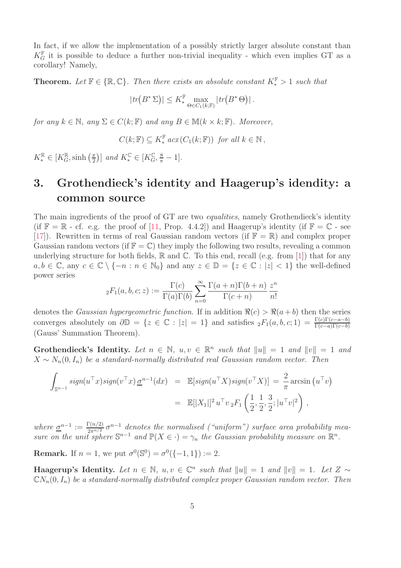In fact, if we allow the implementation of a possibly strictly larger absolute constant than  $K_G^{\mathbb{F}}$  it is possible to deduce a further non-trivial inequality - which even implies GT as a corollary! Namely,

**Theorem.** Let  $\mathbb{F} \in \{ \mathbb{R}, \mathbb{C} \}$ . Then there exists an absolute constant  $K^{\mathbb{F}}_* > 1$  such that

$$
|tr(B^*\Sigma)| \leq K_*^{\mathbb{F}} \max_{\Theta \in C_1(k; \mathbb{F})} |tr(B^*\Theta)|.
$$

for any  $k \in \mathbb{N}$ , any  $\Sigma \in C(k;\mathbb{F})$  and any  $B \in \mathbb{M}(k \times k;\mathbb{F})$ . Moreover,

$$
C(k; \mathbb{F}) \subseteq K_*^{\mathbb{F}} \operatorname{acc}(C_1(k; \mathbb{F})) \text{ for all } k \in \mathbb{N},
$$

 $K^{\mathbb{R}}_* \in [K_G^{\mathbb{R}}, \sinh(\frac{\pi}{2})]$  $\left[\frac{\pi}{2}\right]$  and  $K^{\mathbb{C}}_* \in [K_G^{\mathbb{C}}, \frac{8}{\pi} - 1].$ 

## 3. Grothendieck's identity and Haagerup's idendity: a common source

The main ingredients of the proof of GT are two *equalities*, namely Grothendieck's identity (if  $\mathbb{F} = \mathbb{R}$  - cf. e.g. the proof of [\[11,](#page-18-2) Prop. 4.4.2]) and Haagerup's identity (if  $\mathbb{F} = \mathbb{C}$  - see [\[17\]](#page-18-9)). Rewritten in terms of real Gaussian random vectors (if  $\mathbb{F} = \mathbb{R}$ ) and complex proper Gaussian random vectors (if  $\mathbb{F} = \mathbb{C}$ ) they imply the following two results, revealing a common underlying structure for both fields,  $\mathbb R$  and  $\mathbb C$ . To this end, recall (e.g. from [\[1\]](#page-17-1)) that for any  $a, b \in \mathbb{C}$ , any  $c \in \mathbb{C} \setminus \{-n : n \in \mathbb{N}_0\}$  and any  $z \in \mathbb{D} = \{z \in \mathbb{C} : |z| < 1\}$  the well-defined power series

$$
{}_2F_1(a, b, c; z) := \frac{\Gamma(c)}{\Gamma(a)\Gamma(b)} \sum_{n=0}^{\infty} \frac{\Gamma(a+n)\Gamma(b+n)}{\Gamma(c+n)} \frac{z^n}{n!}
$$

denotes the *Gaussian hypergeometric function*. If in addition  $\Re(c) > \Re(a+b)$  then the series converges absolutely on  $\partial \mathbb{D} = \{z \in \mathbb{C} : |z| = 1\}$  and satisfies  ${}_2F_1(a, b, c; 1) = \frac{\Gamma(c)\Gamma(c-a-b)}{\Gamma(c-a)\Gamma(c-b)}$ (Gauss' Summation Theorem).

Grothendieck's Identity. Let  $n \in \mathbb{N}$ ,  $u, v \in \mathbb{R}^n$  such that  $||u|| = 1$  and  $||v|| = 1$  and  $X \sim N_n(0, I_n)$  be a standard-normally distributed real Gaussian random vector. Then

$$
\int_{\mathbb{S}^{n-1}} sign(u^\top x) sign(v^\top x) \underline{\sigma}^{n-1}(dx) = \mathbb{E}[sign(u^\top X) sign(v^\top X)] = \frac{2}{\pi} \arcsin (u^\top v)
$$

$$
= \mathbb{E}[|X_1||^2 u^\top v_2 F_1\left(\frac{1}{2}, \frac{1}{2}, \frac{3}{2}; |u^\top v|^2\right),
$$

where  $\underline{\sigma}^{n-1} := \frac{\Gamma(n/2)}{2\pi^{n/2}} \sigma^{n-1}$  denotes the normalised ("uniform") surface area probability measure on the unit sphere  $\mathbb{S}^{n-1}$  and  $\mathbb{P}(X \in \cdot) = \gamma_n$  the Gaussian probability measure on  $\mathbb{R}^n$ .

**Remark.** If  $n = 1$ , we put  $\sigma^0(\mathbb{S}^0) = \sigma^0(\{-1, 1\}) := 2$ .

Haagerup's Identity. Let  $n \in \mathbb{N}$ ,  $u, v \in \mathbb{C}^n$  such that  $||u|| = 1$  and  $||v|| = 1$ . Let  $Z \sim$  $CN_n(0, I_n)$  be a standard-normally distributed complex proper Gaussian random vector. Then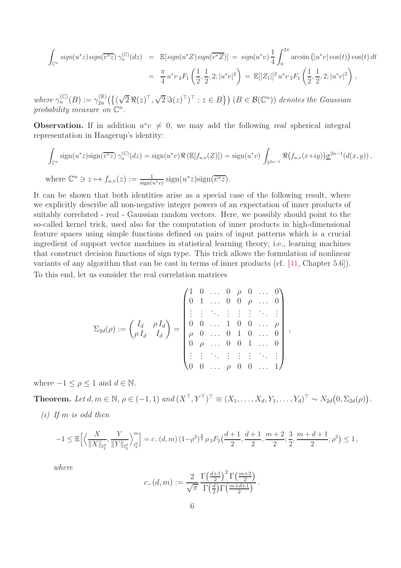$$
\int_{\mathbb{C}^n} sign(u^*z) sign(\overline{v^*z}) \gamma_n^{(\mathbb{C})}(dz) = \mathbb{E}[sign(u^*Z) sign(\overline{v^*Z})] = sign(u^*v) \frac{1}{4} \int_0^{2\pi} \arcsin (|u^*v| \cos(t)) \cos(t) dt
$$

$$
= \frac{\pi}{4} u^*v_2 F_1\left(\frac{1}{2}, \frac{1}{2}, 2; |u^*v|^2\right) = \mathbb{E}[|Z_1|]^2 u^*v_2 F_1\left(\frac{1}{2}, \frac{1}{2}, 2; |u^*v|^2\right),
$$

where  $\gamma_n^{(\mathbb{C})}(B) := \gamma_{2n}^{(\mathbb{R})}$  $\mathcal{L}_{2n}^{(\mathbb{R})}(\{(\sqrt{2} \Re(z)^{\top}, \sqrt{2} \Im(z)^{\top})^{\top} : z \in B\})$   $(B \in \mathcal{B}(\mathbb{C}^n))$  denotes the Gaussian probability measure on  $\mathbb{C}^n$ .

**Observation.** If in addition  $u^*v \neq 0$ , we may add the following real spherical integral representation in Haagerup's identity:

$$
\int_{\mathbb{C}^n} \operatorname{sign}(u^*z) \operatorname{sign}(\overline{v^*z}) \, \gamma_n^{(\mathbb{C})}(dz) = \operatorname{sign}(u^*v) \Re \left( \mathbb{E}[f_{u,v}(Z)] \right) = \operatorname{sign}(u^*v) \int_{\mathbb{S}^{2n-1}} \Re \big(f_{u,v}(x+iy)\big) \underline{\sigma}^{2n-1}(d(x,y)),
$$
\n
$$
\text{where } \mathbb{C}^n \ni z \mapsto f_{u,v}(z) := \frac{1}{\operatorname{sign}(u^*v)} \operatorname{sign}(u^*z) \operatorname{sign}(\overline{v^*z}).
$$

It can be shown that both identities arise as a special case of the following result, where we explicitly describe all non-negative integer powers of an expectation of inner products of suitably correlated - real - Gaussian random vectors. Here, we possibly should point to the so-called kernel trick, used also for the computation of inner products in high-dimensional feature spaces using simple functions defined on pairs of input patterns which is a crucial ingredient of support vector machines in statistical learning theory; i.e., learning machines that construct decision functions of sign type. This trick allows the formulation of nonlinear variants of any algorithm that can be cast in terms of inner products (cf. [\[41,](#page-20-0) Chapter 5.6]). To this end, let us consider the real correlation matrices

$$
\Sigma_{2d}(\rho) := \begin{pmatrix} I_d & \rho I_d \\ \rho I_d & I_d \end{pmatrix} = \begin{pmatrix} 1 & 0 & \dots & 0 & \rho & 0 & \dots & 0 \\ 0 & 1 & \dots & 0 & 0 & \rho & \dots & 0 \\ \vdots & \vdots & \ddots & \vdots & \vdots & \vdots & \ddots & \vdots \\ 0 & 0 & \dots & 1 & 0 & 0 & \dots & \rho \\ \rho & 0 & \dots & 0 & 1 & 0 & \dots & 0 \\ 0 & \rho & \dots & 0 & 0 & 1 & \dots & 0 \\ \vdots & \vdots & \ddots & \vdots & \vdots & \vdots & \ddots & \vdots \\ 0 & 0 & \dots & \rho & 0 & 0 & \dots & 1 \end{pmatrix},
$$

where  $-1 \leq \rho \leq 1$  and  $d \in \mathbb{N}$ .

**Theorem.** Let  $d, m \in \mathbb{N}, \rho \in (-1, 1)$  and  $(X^{\top}, Y^{\top})^{\top} \equiv (X_1, \ldots, X_d, Y_1, \ldots, Y_d)^{\top} \sim N_{2d}(0, \Sigma_{2d}(\rho)).$ 

 $(i)$  If m is odd then

$$
-1 \leq \mathbb{E}\Big[\Big\langle \frac{X}{\|X\|_{l_2^d}}, \frac{Y}{\|Y\|_{l_2^d}} \Big\rangle_{l_2^d}^m \Big] = c_-(d,m) \left(1-\rho^2\right)^{\frac{d}{2}} \rho_3 F_2\left(\frac{d+1}{2}, \frac{d+1}{2}, \frac{m+2}{2}; \frac{3}{2}, \frac{m+d+1}{2}; \rho^2\right) \leq 1,
$$

where

$$
c_{-}(d,m) := \frac{2}{\sqrt{\pi}} \frac{\Gamma\left(\frac{d+1}{2}\right)^2 \Gamma\left(\frac{m+2}{2}\right)}{\Gamma\left(\frac{d}{2}\right) \Gamma\left(\frac{m+d+1}{2}\right)}.
$$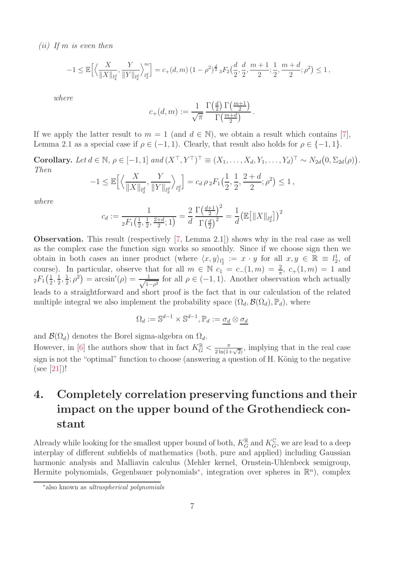(ii) If m is even then

$$
-1 \leq \mathbb{E}\Big[\Big\langle \frac{X}{\|X\|_{l_2^d}}, \frac{Y}{\|Y\|_{l_2^d}} \Big\rangle_{l_2^d}^m \Big] = c_+(d,m) \left(1-\rho^2\right)^{\frac{d}{2}} {}_3F_2\left(\frac{d}{2},\frac{d}{2},\frac{m+1}{2};\frac{1}{2},\frac{m+d}{2};\rho^2\right) \leq 1 \,,
$$

where

$$
c_{+}(d,m) := \frac{1}{\sqrt{\pi}} \frac{\Gamma(\frac{d}{2}) \Gamma(\frac{m+1}{2})}{\Gamma(\frac{m+d}{2})}.
$$

If we apply the latter result to  $m = 1$  (and  $d \in \mathbb{N}$ ), we obtain a result which contains [\[7\]](#page-17-2), Lemma 2.1 as a special case if  $\rho \in (-1, 1)$ . Clearly, that result also holds for  $\rho \in \{-1, 1\}$ .

Corollary. Let  $d \in \mathbb{N}$ ,  $\rho \in [-1, 1]$  and  $(X^{\top}, Y^{\top})^{\top} \equiv (X_1, \ldots, X_d, Y_1, \ldots, Y_d)^{\top} \sim N_{2d}(0, \Sigma_{2d}(\rho)).$ Then

$$
-1 \leq \mathbb{E}\Big[\Big\langle \frac{X}{\|X\|_{l_2^d}}, \frac{Y}{\|Y\|_{l_2^d}} \Big\rangle_{l_2^d}\Big] = c_d \,\rho \, {}_2F_1\left(\frac{1}{2}, \frac{1}{2}, \frac{2+d}{2}; \rho^2\right) \leq 1\,,
$$

where

$$
c_d := \frac{1}{{}_2F_1\left(\frac{1}{2},\frac{1}{2},\frac{2+d}{2};1\right)} = \frac{2}{d} \frac{\Gamma\left(\frac{d+1}{2}\right)^2}{\Gamma\left(\frac{d}{2}\right)^2} = \frac{1}{d} \left(\mathbb{E}\left[\|X\|_{l_2^d}\right]\right)^2
$$

Observation. This result (respectively [\[7,](#page-17-2) Lemma 2.1]) shows why in the real case as well as the complex case the function sign works so smoothly. Since if we choose sign then we obtain in both cases an inner product (where  $\langle x, y \rangle_{l_2} := x \cdot y$  for all  $x, y \in \mathbb{R} \equiv l_2^1$ , of course). In particular, observe that for all  $m \in \mathbb{N}$   $c_1 = c_-(1, m) = \frac{2}{\pi}$ ,  $c_+(1, m) = 1$  and  ${}_2F_1(\frac{1}{2}$  $\frac{1}{2}$ ,  $\frac{1}{2}$  $\frac{1}{2}, \frac{1}{2}$  $(\frac{1}{2}; \rho^2) = \arcsin'(\rho) = \frac{1}{\sqrt{1-\rho^2}}$  $\frac{1}{1-\rho^2}$  for all  $\rho \in (-1,1)$ . Another observation whch actually leads to a straightforward and short proof is the fact that in our calculation of the related multiple integral we also implement the probability space  $(\Omega_d, \mathcal{B}(\Omega_d), \mathbb{P}_d)$ , where

$$
\Omega_d:=\mathbb{S}^{d-1}\times\mathbb{S}^{d-1},\mathbb{P}_d:=\underline{\sigma_d}\otimes\underline{\sigma_d}
$$

and  $\mathcal{B}(\Omega_d)$  denotes the Borel sigma-algebra on  $\Omega_d$ .

However, in [\[6\]](#page-17-0) the authors show that in fact  $K_G^{\mathbb{R}} < \frac{\pi}{2 \ln(1+\sqrt{2})}$ , implying that in the real case sign is not the "optimal" function to choose (answering a question of H. König to the negative (see [\[21\]](#page-18-10))!

## 4. Completely correlation preserving functions and their impact on the upper bound of the Grothendieck constant

Already while looking for the smallest upper bound of both,  $K_G^{\mathbb{R}}$  and  $K_G^{\mathbb{C}}$ , we are lead to a deep interplay of different subfields of mathematics (both, pure and applied) including Gaussian harmonic analysis and Malliavin calculus (Mehler kernel, Ornstein-Uhlenbeck semigroup, Hermite polynomials, Gegenbauer polynomials<sup>\*</sup>, integration over spheres in  $\mathbb{R}^n$ , complex

<span id="page-6-0"></span><sup>∗</sup>also known as ultraspherical polynomials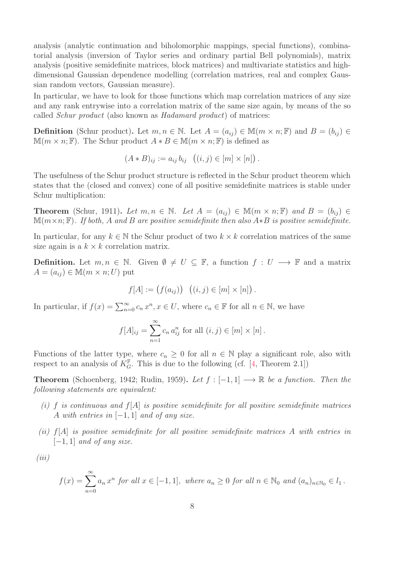analysis (analytic continuation and biholomorphic mappings, special functions), combinatorial analysis (inversion of Taylor series and ordinary partial Bell polynomials), matrix analysis (positive semidefinite matrices, block matrices) and multivariate statistics and highdimensional Gaussian dependence modelling (correlation matrices, real and complex Gaussian random vectors, Gaussian measure).

In particular, we have to look for those functions which map correlation matrices of any size and any rank entrywise into a correlation matrix of the same size again, by means of the so called Schur product (also known as Hadamard product) of matrices:

**Definition** (Schur product). Let  $m, n \in \mathbb{N}$ . Let  $A = (a_{ij}) \in \mathbb{M}(m \times n; \mathbb{F})$  and  $B = (b_{ij}) \in$  $\mathbb{M}(m \times n; \mathbb{F})$ . The Schur product  $A * B \in \mathbb{M}(m \times n; \mathbb{F})$  is defined as

$$
(A * B)_{ij} := a_{ij} b_{ij} \ ( (i, j) \in [m] \times [n] ).
$$

The usefulness of the Schur product structure is reflected in the Schur product theorem which states that the (closed and convex) cone of all positive semidefinite matrices is stable under Schur multiplication:

**Theorem** (Schur, 1911). Let  $m, n \in \mathbb{N}$ . Let  $A = (a_{ij}) \in \mathbb{M}(m \times n; \mathbb{F})$  and  $B = (b_{ij}) \in$  $\mathbb{M}(m\times n;\mathbb{F})$ . If both, A and B are positive semidefinite then also A\*B is positive semidefinite.

In particular, for any  $k \in \mathbb{N}$  the Schur product of two  $k \times k$  correlation matrices of the same size again is a  $k \times k$  correlation matrix.

**Definition.** Let  $m, n \in \mathbb{N}$ . Given  $\emptyset \neq U \subseteq \mathbb{F}$ , a function  $f: U \longrightarrow \mathbb{F}$  and a matrix  $A = (a_{ij}) \in M(m \times n; U)$  put

$$
f[A] := (f(a_{ij})) ((i, j) \in [m] \times [n]).
$$

In particular, if  $f(x) = \sum_{n=0}^{\infty} c_n x^n, x \in U$ , where  $c_n \in \mathbb{F}$  for all  $n \in \mathbb{N}$ , we have

$$
f[A]_{ij} = \sum_{n=1}^{\infty} c_n a_{ij}^n
$$
 for all  $(i, j) \in [m] \times [n]$ .

Functions of the latter type, where  $c_n \geq 0$  for all  $n \in \mathbb{N}$  play a significant role, also with respect to an analysis of  $K_G^{\mathbb{F}}$ . This is due to the following (cf. [\[4,](#page-17-3) Theorem 2.1])

**Theorem** (Schoenberg, 1942; Rudin, 1959). Let  $f : [-1, 1] \longrightarrow \mathbb{R}$  be a function. Then the following statements are equivalent:

- (i) f is continuous and  $f[A]$  is positive semidefinite for all positive semidefinite matrices A with entries in  $[-1, 1]$  and of any size.
- (ii) f[A] is positive semidefinite for all positive semidefinite matrices A with entries in  $[-1, 1]$  and of any size.

 $(iii)$ 

$$
f(x) = \sum_{n=0}^{\infty} a_n x^n
$$
 for all  $x \in [-1, 1]$ , where  $a_n \ge 0$  for all  $n \in \mathbb{N}_0$  and  $(a_n)_{n \in \mathbb{N}_0} \in l_1$ .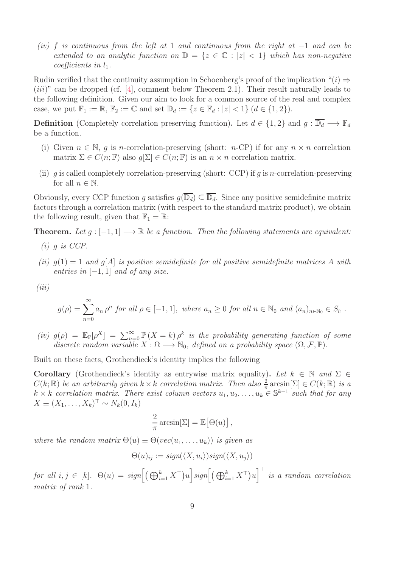(iv) f is continuous from the left at 1 and continuous from the right at  $-1$  and can be extended to an analytic function on  $\mathbb{D} = \{z \in \mathbb{C} : |z| < 1\}$  which has non-negative coefficients in  $l_1$ .

Rudin verified that the continuity assumption in Schoenberg's proof of the implication " $(i) \Rightarrow$  $(iii)$ " can be dropped (cf. [\[4\]](#page-17-3), comment below Theorem 2.1). Their result naturally leads to the following definition. Given our aim to look for a common source of the real and complex case, we put  $\mathbb{F}_1 := \mathbb{R}, \mathbb{F}_2 := \mathbb{C}$  and set  $\mathbb{D}_d := \{z \in \mathbb{F}_d : |z| < 1\}$   $(d \in \{1,2\})$ .

**Definition** (Completely correlation preserving function). Let  $d \in \{1,2\}$  and  $g : \overline{\mathbb{D}_d} \longrightarrow \mathbb{F}_d$ be a function.

- (i) Given  $n \in \mathbb{N}$ , q is n-correlation-preserving (short: n-CP) if for any  $n \times n$  correlation matrix  $\Sigma \in C(n;\mathbb{F})$  also  $q[\Sigma] \in C(n;\mathbb{F})$  is an  $n \times n$  correlation matrix.
- (ii) g is called completely correlation-preserving (short: CCP) if g is n-correlation-preserving for all  $n \in \mathbb{N}$ .

Obviously, every CCP function g satisfies  $g(\overline{\mathbb{D}_d}) \subseteq \overline{\mathbb{D}_d}$ . Since any positive semidefinite matrix factors through a correlation matrix (with respect to the standard matrix product), we obtain the following result, given that  $\mathbb{F}_1 = \mathbb{R}$ :

**Theorem.** Let  $g : [-1, 1] \longrightarrow \mathbb{R}$  be a function. Then the following statements are equivalent:

- $(i)$  q is CCP.
- (ii)  $g(1) = 1$  and  $g[A]$  is positive semidefinite for all positive semidefinite matrices A with entries in  $[-1, 1]$  and of any size.

$$
(iii)
$$

$$
g(\rho) = \sum_{n=0}^{\infty} a_n \rho^n \text{ for all } \rho \in [-1,1], \text{ where } a_n \ge 0 \text{ for all } n \in \mathbb{N}_0 \text{ and } (a_n)_{n \in \mathbb{N}_0} \in S_{l_1}.
$$

(iv)  $g(\rho) = \mathbb{E}_{\mathbb{P}}[\rho^X] = \sum_{n=0}^{\infty} \mathbb{P}(X = k) \rho^k$  is the probability generating function of some discrete random variable  $X : \Omega \longrightarrow \mathbb{N}_0$ , defined on a probability space  $(\Omega, \mathcal{F}, \mathbb{P})$ .

Built on these facts, Grothendieck's identity implies the following

Corollary (Grothendieck's identity as entrywise matrix equality). Let  $k \in \mathbb{N}$  and  $\Sigma \in$  $C(k; \mathbb{R})$  be an arbitrarily given  $k \times k$  correlation matrix. Then also  $\frac{2}{\pi} \arcsin[\Sigma] \in C(k; \mathbb{R})$  is a  $k \times k$  correlation matrix. There exist column vectors  $u_1, u_2, \ldots, u_k \in \mathbb{S}^{k-1}$  such that for any  $X \equiv (X_1, \ldots, X_k)^\top \sim N_k(0, I_k)$ 

$$
\frac{2}{\pi}\arcsin[\Sigma] = \mathbb{E}[\Theta(u)],
$$

where the random matrix  $\Theta(u) \equiv \Theta(\textit{vec}(u_1, \ldots, u_k))$  is given as

$$
\Theta(u)_{ij} := sign(\langle X, u_i \rangle) sign(\langle X, u_j \rangle)
$$

 $for\ all\ i,j\ \in\ [k].\ \ \Theta(u)\ =\ sign\Big[\big(\bigoplus_{i=1}^k X^\top\big)u\Big]sign\Big[\big(\bigoplus_{i=1}^k X^\top\big)u\Big]^{\top}\ \ is\ a\ random\ correlation$ matrix of rank 1.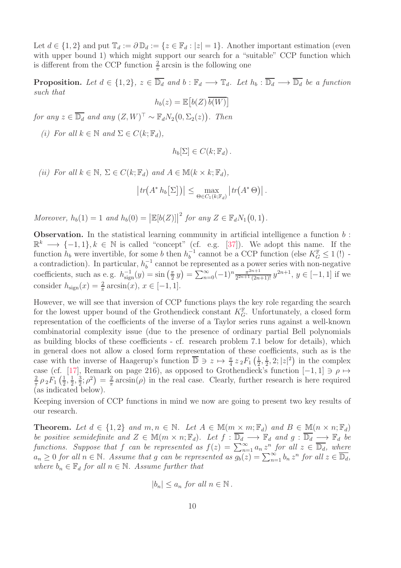Let  $d \in \{1,2\}$  and put  $\mathbb{T}_d := \partial \mathbb{D}_d := \{z \in \mathbb{F}_d : |z| = 1\}$ . Another important estimation (even with upper bound 1) which might support our search for a "suitable" CCP function which is different from the CCP function  $\frac{2}{\pi}$  arcsin is the following one

**Proposition.** Let  $d \in \{1,2\}$ ,  $z \in \overline{\mathbb{D}_d}$  and  $b : \mathbb{F}_d \longrightarrow \mathbb{T}_d$ . Let  $h_b : \overline{\mathbb{D}_d} \longrightarrow \overline{\mathbb{D}_d}$  be a function such that

 $h_b(z) = \mathbb{E}\left[b(Z)\overline{b(W)}\right]$ 

for any  $z \in \overline{\mathbb{D}_d}$  and any  $(Z, W)^\top \sim \mathbb{F}_d N_2(0, \Sigma_2(z))$ . Then

(i) For all  $k \in \mathbb{N}$  and  $\Sigma \in C(k; \mathbb{F}_d)$ ,

$$
h_b[\Sigma] \in C(k; \mathbb{F}_d).
$$

(ii) For all  $k \in \mathbb{N}$ ,  $\Sigma \in C(k; \mathbb{F}_d)$  and  $A \in \mathbb{M}(k \times k; \mathbb{F}_d)$ ,

$$
\left| tr(A^* h_b \big[\Sigma\big]) \right| \leq \max_{\Theta \in C_1(k; \mathbb{F}_d)} \left| tr(A^* \Theta) \right|.
$$

Moreover,  $h_b(1) = 1$  and  $h_b(0) = |\mathbb{E}[b(Z)]|$ <sup>2</sup> for any  $Z \in \mathbb{F}_d N_1(0,1)$ .

**Observation.** In the statistical learning community in artificial intelligence a function  $b$ :  $\mathbb{R}^k \longrightarrow \{-1,1\}, k \in \mathbb{N}$  is called "concept" (cf. e.g. [\[37\]](#page-19-4)). We adopt this name. If the function  $h_b$  were invertible, for some b then  $h_b^{-1}$  cannot be a CCP function (else  $K_G^{\mathbb{F}} \leq 1$  (!) b a contradiction). In particular,  $h_b^{-1}$  cannot be represented as a power series with non-negative coefficients, such as e.g.  $h_{\text{sign}}^{-1}(y) = \sin\left(\frac{\pi}{2}\right)$  $\left(\frac{\pi}{2}y\right) = \sum_{n=0}^{\infty} (-1)^n \frac{\pi^{2n+1}}{2^{2n+1}(2n)}$  $\frac{\pi^{2n+1}}{2^{2n+1}(2n+1)!} y^{2n+1}, y \in [-1,1]$  if we consider  $h_{\text{sign}}(x) = \frac{2}{\pi} \arcsin(x), x \in [-1, 1].$ 

However, we will see that inversion of CCP functions plays the key role regarding the search for the lowest upper bound of the Grothendieck constant  $K_G^{\mathbb{F}}$ . Unfortunately, a closed form representation of the coefficients of the inverse of a Taylor series runs against a well-known combinatorial complexity issue (due to the presence of ordinary partial Bell polynomials as building blocks of these coefficients - cf. research problem 7.1 below for details), which in general does not allow a closed form representation of these coefficients, such as is the case with the inverse of Haagerup's function  $\overline{\mathbb{D}} \ni z \mapsto \frac{\pi}{4} z_2 F_1 \left( \frac{1}{2} \right)$  $\frac{1}{2}, \frac{1}{2}$  $\frac{1}{2}$ , 2; |z|<sup>2</sup>) in the complex case (cf. [\[17\]](#page-18-9), Remark on page 216), as opposed to Grothendieck's function  $[-1, 1] \ni \rho \mapsto$ 2  $\frac{2}{\pi}$ ρ<sub>2</sub> $F_1$   $\left(\frac{1}{2}\right)$  $\frac{1}{2}, \frac{1}{2}$  $\frac{1}{2}$ ,  $\frac{3}{2}$  $\frac{3}{2}$ ;  $\rho^2$ ) =  $\frac{2}{\pi}$  $\frac{2}{\pi}$  arcsin( $\rho$ ) in the real case. Clearly, further research is here required (as indicated below).

Keeping inversion of CCP functions in mind we now are going to present two key results of our research.

**Theorem.** Let  $d \in \{1,2\}$  and  $m, n \in \mathbb{N}$ . Let  $A \in \mathbb{M}(m \times m; \mathbb{F}_d)$  and  $B \in \mathbb{M}(n \times n; \mathbb{F}_d)$ be positive semidefinite and  $Z \in \mathbb{M}(m \times n; \mathbb{F}_d)$ . Let  $f : \overline{\mathbb{D}_d} \longrightarrow \mathbb{F}_d$  and  $g : \overline{\mathbb{D}_d} \longrightarrow \mathbb{F}_d$  be functions. Suppose that f can be represented as  $f(z) = \sum_{n=1}^{\infty} a_n z^n$  for all  $z \in \overline{\mathbb{D}_d}$ , where  $a_n \geq 0$  for all  $n \in \mathbb{N}$ . Assume that g can be represented as  $\overline{g_b(z)} = \sum_{n=1}^{\infty} b_n z^n$  for all  $z \in \overline{\mathbb{D}_d}$ , where  $b_n \in \mathbb{F}_d$  for all  $n \in \mathbb{N}$ . Assume further that

$$
|b_n| \le a_n \text{ for all } n \in \mathbb{N}.
$$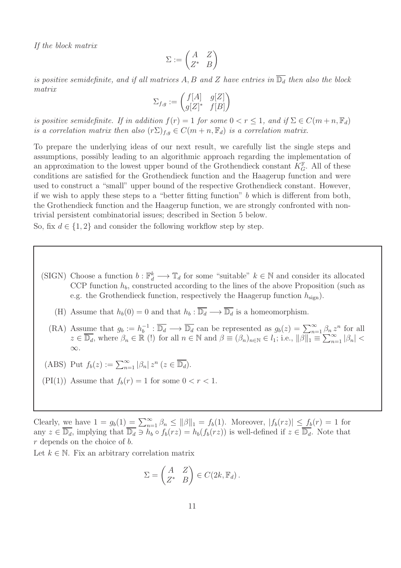If the block matrix

$$
\Sigma := \begin{pmatrix} A & Z \\ Z^* & B \end{pmatrix}
$$

is positive semidefinite, and if all matrices A, B and Z have entries in  $\overline{\mathbb{D}_d}$  then also the block matrix

$$
\Sigma_{f,g} := \begin{pmatrix} f[A] & g[Z] \\ g[Z]^* & f[B] \end{pmatrix}
$$

is positive semidefinite. If in addition  $f(r) = 1$  for some  $0 < r \leq 1$ , and if  $\Sigma \in C(m+n, \mathbb{F}_d)$ is a correlation matrix then also  $(r\Sigma)_{f,q} \in C(m+n,\mathbb{F}_d)$  is a correlation matrix.

To prepare the underlying ideas of our next result, we carefully list the single steps and assumptions, possibly leading to an algorithmic approach regarding the implementation of an approximation to the lowest upper bound of the Grothendieck constant  $K_G^{\mathbb{F}}$ . All of these conditions are satisfied for the Grothendieck function and the Haagerup function and were used to construct a "small" upper bound of the respective Grothendieck constant. However, if we wish to apply these steps to a "better fitting function"  $b$  which is different from both, the Grothendieck function and the Haagerup function, we are strongly confronted with nontrivial persistent combinatorial issues; described in Section 5 below.

So, fix  $d \in \{1,2\}$  and consider the following workflow step by step.

- (SIGN) Choose a function  $b: \mathbb{F}_d^k \longrightarrow \mathbb{T}_d$  for some "suitable"  $k \in \mathbb{N}$  and consider its allocated CCP function  $h_b$ , constructed according to the lines of the above Proposition (such as e.g. the Grothendieck function, respectively the Haagerup function  $h_{\text{sign}}$ ).
	- (H) Assume that  $h_b(0) = 0$  and that  $h_b : \overline{\mathbb{D}_d} \longrightarrow \overline{\mathbb{D}_d}$  is a homeomorphism.
	- (RA) Assume that  $g_b := h_b^{-1} : \overline{\mathbb{D}_d} \longrightarrow \overline{\mathbb{D}_d}$  can be represented as  $g_b(z) = \sum_{n=1}^{\infty} \beta_n z^n$  for all  $z \in \overline{\mathbb{D}_d}$ , where  $\beta_n \in \mathbb{R}$  (!) for all  $n \in \mathbb{N}$  and  $\beta \equiv (\beta_n)_{n \in \mathbb{N}} \in l_1$ ; i.e.,  $\|\beta\|_1 = \sum_{n=1}^{\infty} |\beta_n| <$ ∞.
- (ABS) Put  $f_b(z) := \sum_{n=1}^{\infty} |\beta_n| z^n$   $(z \in \overline{\mathbb{D}_d})$ .
- (PI(1)) Assume that  $f_b(r) = 1$  for some  $0 < r < 1$ .

Clearly, we have  $1 = g_b(1) = \sum_{n=1}^{\infty} \beta_n \le ||\beta||_1 = f_b(1)$ . Moreover,  $|f_b(rz)| \le \underline{f_b}(r) = 1$  for any  $z \in \overline{\mathbb{D}_d}$ , implying that  $\overline{\mathbb{D}_d} \ni h_b \circ f_b(rz) = h_b(f_b(rz))$  is well-defined if  $z \in \overline{\mathbb{D}_d}$ . Note that r depends on the choice of b.

Let  $k \in \mathbb{N}$ . Fix an arbitrary correlation matrix

$$
\Sigma = \begin{pmatrix} A & Z \\ Z^* & B \end{pmatrix} \in C(2k, \mathbb{F}_d).
$$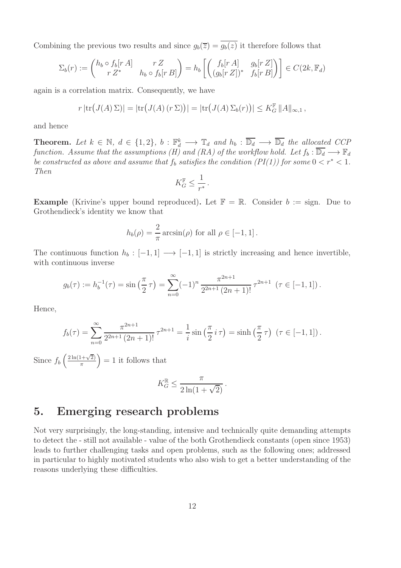Combining the previous two results and since  $g_b(\overline{z}) = \overline{g_b(z)}$  it therefore follows that

$$
\Sigma_b(r) := \begin{pmatrix} h_b \circ f_b[r \, A] & r \, Z \\ r \, Z^* & h_b \circ f_b[r \, B] \end{pmatrix} = h_b \left[ \begin{pmatrix} f_b[r \, A] & g_b[r \, Z] \\ (g_b[r \, Z])^* & f_b[r \, B] \end{pmatrix} \right] \in C(2k, \mathbb{F}_d)
$$

again is a correlation matrix. Consequently, we have

$$
r \left| \text{tr}\big(J(A)\,\Sigma\big)\right| = \left| \text{tr}\big(J(A)\,(r\,\Sigma)\big)\right| = \left| \text{tr}\big(J(A)\,\Sigma_b(r)\big)\right| \leq K_G^{\mathbb{F}} \, \|A\|_{\infty,1} \,,
$$

and hence

**Theorem.** Let  $k \in \mathbb{N}$ ,  $d \in \{1, 2\}$ ,  $b : \mathbb{F}_d^k \longrightarrow \mathbb{T}_d$  and  $h_b : \overline{\mathbb{D}_d} \longrightarrow \overline{\mathbb{D}_d}$  the allocated CCP function. Assume that the assumptions (H) and (RA) of the workflow hold. Let  $f_b : \overline{\mathbb{D}_d} \longrightarrow \mathbb{F}_d$ be constructed as above and assume that  $f_b$  satisfies the condition  $(PI(1))$  for some  $0 < r^* < 1$ . Then

$$
K_G^{\mathbb{F}} \le \frac{1}{r^*}.
$$

**Example** (Krivine's upper bound reproduced). Let  $\mathbb{F} = \mathbb{R}$ . Consider  $b :=$  sign. Due to Grothendieck's identity we know that

$$
h_b(\rho) = \frac{2}{\pi} \arcsin(\rho) \text{ for all } \rho \in [-1, 1].
$$

The continuous function  $h_b : [-1, 1] \longrightarrow [-1, 1]$  is strictly increasing and hence invertible, with continuous inverse

$$
g_b(\tau) := h_b^{-1}(\tau) = \sin\left(\frac{\pi}{2}\tau\right) = \sum_{n=0}^{\infty} (-1)^n \frac{\pi^{2n+1}}{2^{2n+1}(2n+1)!} \tau^{2n+1} \quad (\tau \in [-1, 1]).
$$

Hence,

$$
f_b(\tau) = \sum_{n=0}^{\infty} \frac{\pi^{2n+1}}{2^{2n+1} (2n+1)!} \tau^{2n+1} = \frac{1}{i} \sin\left(\frac{\pi}{2} i \tau\right) = \sinh\left(\frac{\pi}{2} \tau\right) \ (\tau \in [-1, 1]) \, .
$$

Since  $f_b\left(\frac{2\ln(1+\sqrt{2})}{\pi}\right)$  $\left(\frac{1+\sqrt{2}}{\pi}\right) = 1$  it follows that

$$
K_G^{\mathbb{R}} \le \frac{\pi}{2\ln(1+\sqrt{2})}.
$$

### 5. Emerging research problems

Not very surprisingly, the long-standing, intensive and technically quite demanding attempts to detect the - still not available - value of the both Grothendieck constants (open since 1953) leads to further challenging tasks and open problems, such as the following ones; addressed in particular to highly motivated students who also wish to get a better understanding of the reasons underlying these difficulties.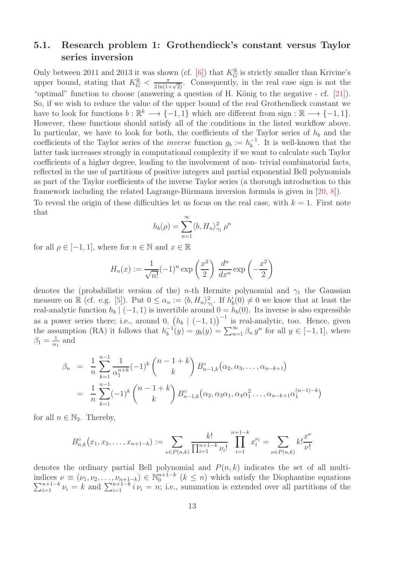#### 5.1. Research problem 1: Grothendieck's constant versus Taylor series inversion

Only between 2011 and 2013 it was shown (cf. [\[6\]](#page-17-0)) that  $K_G^{\mathbb{R}}$  is strictly smaller than Krivine's upper bound, stating that  $K_G^{\mathbb{R}} < \frac{\pi}{2\ln(1+\sqrt{2})}$ . Consequently, in the real case sign is not the "optimal" function to choose (answering a question of H. König to the negative  $-$  cf.  $[21]$ ). So, if we wish to reduce the value of the upper bound of the real Grothendieck constant we have to look for functions  $b : \mathbb{R}^k \longrightarrow \{-1,1\}$  which are different from sign :  $\mathbb{R} \longrightarrow \{-1,1\}$ . However, these functions should satisfy all of the conditions in the listed workflow above. In particular, we have to look for both, the coefficients of the Taylor series of  $h_b$  and the coefficients of the Taylor series of the *inverse* function  $g_b := h_b^{-1}$ . It is well-known that the latter task increases strongly in computational complexity if we want to calculate such Taylor coefficients of a higher degree, leading to the involvement of non- trivial combinatorial facts, reflected in the use of partitions of positive integers and partial exponential Bell polynomials as part of the Taylor coefficients of the inverse Taylor series (a thorough introduction to this framework including the related Lagrange-Bürmann inversion formula is given in  $[20, 8]$  $[20, 8]$ . To reveal the origin of these difficulties let us focus on the real case, with  $k = 1$ . First note

that

$$
h_b(\rho) = \sum_{n=1}^{\infty} \langle b, H_n \rangle_{\gamma_1}^2 \rho^n
$$

for all  $\rho \in [-1, 1]$ , where for  $n \in \mathbb{N}$  and  $x \in \mathbb{R}$ 

$$
H_n(x) := \frac{1}{\sqrt{n!}} (-1)^n \exp\left(\frac{x^2}{2}\right) \frac{d^n}{dx^n} \exp\left(-\frac{x^2}{2}\right)
$$

denotes the (probabilistic version of the) *n*-th Hermite polynomial and  $\gamma_1$  the Gaussian measure on  $\mathbb{R}$  (cf. e.g. [\[5\]](#page-17-5)). Put  $0 \le \alpha_n := \langle b, H_n \rangle_{\gamma_1}^2$ . If  $h'_b(0) \neq 0$  we know that at least the real-analytic function  $h_b | (-1, 1)$  is invertible around  $0 = h_b(0)$ . Its inverse is also expressible as a power series there; i.e., around 0,  $(h_b \mid (-1, 1))^{-1}$  is real-analytic, too. Hence, given the assumption (RA) it follows that  $h_b^{-1}(y) = g_b(y) = \sum_{n=1}^{\infty} \beta_n y^n$  for all  $y \in [-1, 1]$ , where  $\beta_1 = \frac{1}{\alpha_1}$  $rac{1}{\alpha_1}$  and

$$
\beta_n = \frac{1}{n} \sum_{k=1}^{n-1} \frac{1}{\alpha_1^{n+k}} (-1)^k {n-1+k \choose k} B_{n-1,k}^{\circ}(\alpha_2, \alpha_3, \dots, \alpha_{n-k+1})
$$
  
= 
$$
\frac{1}{n} \sum_{k=1}^{n-1} (-1)^k {n-1+k \choose k} B_{n-1,k}^{\circ}(\alpha_2, \alpha_3 \alpha_1, \alpha_4 \alpha_1^2 \dots, \alpha_{n-k+1} \alpha_1^{(n-1)-k})
$$

for all  $n \in \mathbb{N}_2$ . Thereby,

$$
B_{n,k}^{\circ}(x_1, x_2, \dots, x_{n+1-k}) := \sum_{\nu \in P(n,k)} \frac{k!}{\prod_{i=1}^{n+1-k} \nu_i!} \prod_{i=1}^{n+1-k} x_i^{\nu_i} = \sum_{\nu \in P(n,k)} k! \frac{x^{\nu}}{\nu!}
$$

denotes the ordinary partial Bell polynomial and  $P(n, k)$  indicates the set of all multiindices  $\nu \equiv (\nu_1, \nu_2, \ldots, \nu_{n+1-k}) \in \mathbb{N}_0^{n+1-k}$  $\sum$ lices  $\nu \equiv (\nu_1, \nu_2, \dots, \nu_{n+1-k}) \in \mathbb{N}_0^{n+1-k}$   $(k \leq n)$  which satisfy the Diophantine equations  $n+1-k$   $\nu_i = k$  and  $\sum_{i=1}^{n+1-k} i \nu_i = n$ ; i.e., summation is extended over all partitions of the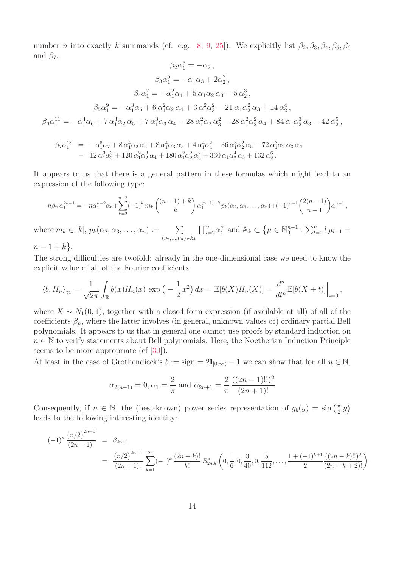number *n* into exactly k summands (cf. e.g. [\[8,](#page-17-4) [9,](#page-17-6) [25\]](#page-18-12)). We explicitly list  $\beta_2, \beta_3, \beta_4, \beta_5, \beta_6$ and  $\beta_7$ :  $\overline{2}$ 

$$
\beta_2 \alpha_1^3 = -\alpha_2 ,
$$
  
\n
$$
\beta_3 \alpha_1^5 = -\alpha_1 \alpha_3 + 2\alpha_2^2 ,
$$
  
\n
$$
\beta_4 \alpha_1^7 = -\alpha_1^2 \alpha_4 + 5 \alpha_1 \alpha_2 \alpha_3 - 5 \alpha_2^3 ,
$$
  
\n
$$
\beta_5 \alpha_1^9 = -\alpha_1^3 \alpha_5 + 6 \alpha_1^2 \alpha_2 \alpha_4 + 3 \alpha_1^2 \alpha_3^2 - 21 \alpha_1 \alpha_2^2 \alpha_3 + 14 \alpha_2^4 ,
$$
  
\n
$$
\beta_6 \alpha_1^{11} = -\alpha_1^4 \alpha_6 + 7 \alpha_1^3 \alpha_2 \alpha_5 + 7 \alpha_1^3 \alpha_3 \alpha_4 - 28 \alpha_1^2 \alpha_2 \alpha_3^2 - 28 \alpha_1^2 \alpha_2^2 \alpha_4 + 84 \alpha_1 \alpha_2^3 \alpha_3 - 42 \alpha_2^5 ,
$$

$$
\beta_7 \alpha_1^{13} = -\alpha_1^5 \alpha_7 + 8 \alpha_1^4 \alpha_2 \alpha_6 + 8 \alpha_1^4 \alpha_3 \alpha_5 + 4 \alpha_1^4 \alpha_4^2 - 36 \alpha_1^3 \alpha_2^2 \alpha_5 - 72 \alpha_1^3 \alpha_2 \alpha_3 \alpha_4 - 12 \alpha_1^3 \alpha_3^3 + 120 \alpha_1^2 \alpha_2^3 \alpha_4 + 180 \alpha_1^2 \alpha_2^2 \alpha_3^2 - 330 \alpha_1 \alpha_2^4 \alpha_3 + 132 \alpha_2^6.
$$

It appears to us that there is a general pattern in these formulas which might lead to an expression of the following type:

$$
n\beta_n \alpha_1^{2n-1} = -n\alpha_1^{n-2}\alpha_n + \sum_{k=2}^{n-2} (-1)^k m_k \binom{(n-1)+k}{k} \alpha_1^{(n-1)-k} p_k(\alpha_2, \alpha_3, \dots, \alpha_n) + (-1)^{n-1} \binom{2(n-1)}{n-1} \alpha_2^{n-1},
$$
  
where  $m_k \in [k]$ ,  $p_k(\alpha_2, \alpha_3, \dots, \alpha_n) := \sum_{(\nu_2, \dots, \nu_n) \in \mathbb{A}_k} \prod_{l=2}^n \alpha_l^{\nu_l}$  and  $\mathbb{A}_k \subset \{\mu \in \mathbb{N}_0^{n-1} : \sum_{l=2}^n l \mu_{l-1} = n-1+k\}.$ 

The strong difficulties are twofold: already in the one-dimensional case we need to know the explicit value of all of the Fourier coefficients

$$
\langle b, H_n \rangle_{\gamma_1} = \frac{1}{\sqrt{2\pi}} \int_{\mathbb{R}} b(x) H_n(x) \exp\left(-\frac{1}{2}x^2\right) dx = \mathbb{E}[b(X)H_n(X)] = \frac{d^n}{dt^n} \mathbb{E}[b(X+t)]\Big|_{t=0},
$$

where  $X \sim N_1(0, 1)$ , together with a closed form expression (if available at all) of all of the coefficients  $\beta_n$ , where the latter involves (in general, unknown values of) ordinary partial Bell polynomials. It appears to us that in general one cannot use proofs by standard induction on  $n \in \mathbb{N}$  to verify statements about Bell polynomials. Here, the Noetherian Induction Principle seems to be more appropriate (cf [\[30\]](#page-19-5)).

At least in the case of Grothendieck's  $b := \text{sign} = 2\mathbb{1}_{[0,\infty)} - 1$  we can show that for all  $n \in \mathbb{N}$ ,

$$
\alpha_{2(n-1)} = 0, \alpha_1 = \frac{2}{\pi}
$$
 and  $\alpha_{2n+1} = \frac{2}{\pi} \frac{((2n-1)!!)^2}{(2n+1)!}$ 

Consequently, if  $n \in \mathbb{N}$ , the (best-known) power series representation of  $g_b(y) = \sin\left(\frac{\pi}{2}\right)$  $\frac{\pi}{2}y)$ leads to the following interesting identity:

$$
(-1)^n \frac{(\pi/2)^{2n+1}}{(2n+1)!} = \beta_{2n+1}
$$
  
=  $\frac{(\pi/2)^{2n+1}}{(2n+1)!} \sum_{k=1}^{2n} (-1)^k \frac{(2n+k)!}{k!} B_{2n,k}^{\circ} \left(0, \frac{1}{6}, 0, \frac{3}{40}, 0, \frac{5}{112}, \dots, \frac{1+(-1)^{k+1}}{2} \frac{((2n-k)!!)^2}{(2n-k+2)!}\right)$ 

.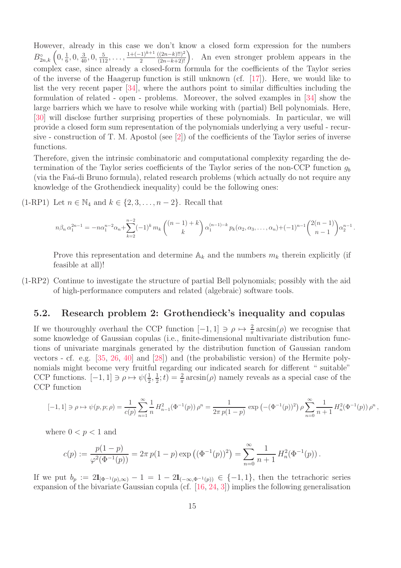However, already in this case we don't know a closed form expression for the numbers  $B_{2n,k}^{\circ}\left(0,\frac{1}{6}\right)$  $\frac{1}{6}, 0, \frac{3}{40}, 0, \frac{5}{112}, \ldots, \frac{1+(-1)^{k+1}}{2} \frac{((2n-k)!!)^2}{(2n-k+2)!}$ . An even stronger problem appears in the complex case, since already a closed-form formula for the coefficients of the Taylor series of the inverse of the Haagerup function is still unknown (cf. [\[17\]](#page-18-9)). Here, we would like to list the very recent paper [\[34\]](#page-19-6), where the authors point to similar difficulties including the formulation of related - open - problems. Moreover, the solved examples in [\[34\]](#page-19-6) show the large barriers which we have to resolve while working with (partial) Bell polynomials. Here, [\[30\]](#page-19-5) will disclose further surprising properties of these polynomials. In particular, we will provide a closed form sum representation of the polynomials underlying a very useful - recursive - construction of T. M. Apostol (see [\[2\]](#page-17-7)) of the coefficients of the Taylor series of inverse functions.

Therefore, given the intrinsic combinatoric and computational complexity regarding the determination of the Taylor series coefficients of the Taylor series of the non-CCP function  $q_b$ (via the Fa $\acute{a}$ -di Bruno formula), related research problems (which actually do not require any knowledge of the Grothendieck inequality) could be the following ones:

(1-RP1) Let  $n \in \mathbb{N}_4$  and  $k \in \{2, 3, \ldots, n-2\}$ . Recall that

$$
n\beta_n \alpha_1^{2n-1} = -n\alpha_1^{n-2}\alpha_n + \sum_{k=2}^{n-2} (-1)^k m_k \binom{(n-1)+k}{k} \alpha_1^{(n-1)-k} p_k(\alpha_2, \alpha_3, \dots, \alpha_n) + (-1)^{n-1} \binom{2(n-1)}{n-1} \alpha_2^{n-1}
$$

.

,

Prove this representation and determine  $\mathbb{A}_k$  and the numbers  $m_k$  therein explicitly (if feasible at all)!

(1-RP2) Continue to investigate the structure of partial Bell polynomials; possibly with the aid of high-performance computers and related (algebraic) software tools.

#### 5.2. Research problem 2: Grothendieck's inequality and copulas

If we thouroughly overhaul the CCP function  $[-1, 1] \ni \rho \mapsto \frac{2}{\pi} \arcsin(\rho)$  we recognise that some knowledge of Gaussian copulas (i.e., finite-dimensional multivariate distribution functions of univariate marginals generated by the distribution function of Gaussian random vectors - cf. e.g. [\[35,](#page-19-7) [26,](#page-19-8) [40\]](#page-19-9) and [\[28\]](#page-19-10)) and (the probabilistic version) of the Hermite polynomials might become very fruitful regarding our indicated search for different " suitable" CCP functions.  $[-1, 1] \ni \rho \mapsto \psi(\frac{1}{2})$  $\frac{1}{2}, \frac{1}{2}$  $\frac{1}{2}$ ; t) =  $\frac{2}{\pi}$  arcsin( $\rho$ ) namely reveals as a special case of the CCP function

$$
[-1,1]\ni \rho\mapsto \psi(p,p;\rho)=\frac{1}{c(p)}\sum_{n=1}^\infty\frac{1}{n}\,H_{n-1}^2(\Phi^{-1}(p))\,\rho^n=\frac{1}{2\pi\,p(1-p)}\,\exp\left(-(\Phi^{-1}(p))^2\right)\rho\sum_{n=0}^\infty\frac{1}{n+1}\,H_n^2(\Phi^{-1}(p))\,\rho^n
$$

where  $0 < p < 1$  and

$$
c(p) := \frac{p(1-p)}{\varphi^2(\Phi^{-1}(p))} = 2\pi p(1-p) \exp((\Phi^{-1}(p))^2) = \sum_{n=0}^{\infty} \frac{1}{n+1} H_n^2(\Phi^{-1}(p)).
$$

If we put  $b_p := 2\mathbb{1}_{\{\Phi^{-1}(p),\infty\}} - 1 = 1 - 2\mathbb{1}_{(-\infty,\Phi^{-1}(p))} \in \{-1,1\}$ , then the tetrachoric series expansion of the bivariate Gaussian copula (cf. [\[16,](#page-18-13) [24,](#page-18-14) [3\]](#page-17-8)) implies the following generalisation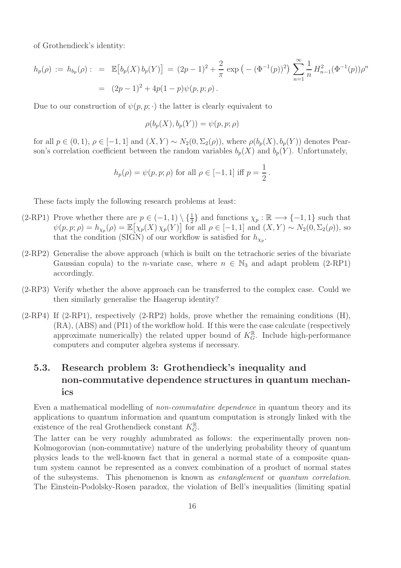of Grothendieck's identity:

$$
h_p(\rho) := h_{b_p}(\rho) : = \mathbb{E}\big[b_p(X)\,b_p(Y)\big] = (2p-1)^2 + \frac{2}{\pi}\exp\big(-(\Phi^{-1}(p))^2\big)\sum_{n=1}^{\infty}\frac{1}{n}H_{n-1}^2(\Phi^{-1}(p))\rho^n
$$
  
=  $(2p-1)^2 + 4p(1-p)\psi(p,p;\rho).$ 

Due to our construction of  $\psi(p, p; \cdot)$  the latter is clearly equivalent to

$$
\rho(b_p(X), b_p(Y)) = \psi(p, p; \rho)
$$

for all  $p \in (0,1)$ ,  $\rho \in [-1,1]$  and  $(X,Y) \sim N_2(0,\Sigma_2(\rho))$ , where  $\rho(b_p(X),b_p(Y))$  denotes Pearson's correlation coefficient between the random variables  $b_p(X)$  and  $b_p(Y)$ . Unfortunately,

$$
h_p(\rho) = \psi(p, p; \rho)
$$
 for all  $\rho \in [-1, 1]$  iff  $p = \frac{1}{2}$ .

These facts imply the following research problems at least:

- (2-RP1) Prove whether there are  $p \in (-1,1) \setminus \{\frac{1}{2}\}\$  and functions  $\chi_p : \mathbb{R} \longrightarrow \{-1,1\}$  such that  $\psi(p, p; \rho) = h_{\chi_p}(\rho) = \mathbb{E}[\chi_p(X) \chi_p(Y)]$  for all  $\rho \in [-1, 1]$  and  $(X, Y) \sim N_2(0, \Sigma_2(\rho)),$  so that the condition (SIGN) of our workflow is satisfied for  $h_{\chi_p}$ .
- (2-RP2) Generalise the above approach (which is built on the tetrachoric series of the bivariate Gaussian copula) to the *n*-variate case, where  $n \in \mathbb{N}_3$  and adapt problem (2-RP1) accordingly.
- (2-RP3) Verify whether the above approach can be transferred to the complex case. Could we then similarly generalise the Haagerup identity?
- $(2-RP4)$  If  $(2-RP1)$ , respectively  $(2-RP2)$  holds, prove whether the remaining conditions  $(H)$ , (RA), (ABS) and (PI1) of the workflow hold. If this were the case calculate (respectively approximate numerically) the related upper bound of  $K_G^{\mathbb{R}}$ . Include high-performance computers and computer algebra systems if necessary.

#### 5.3. Research problem 3: Grothendieck's inequality and non-commutative dependence structures in quantum mechanics

Even a mathematical modelling of *non-commutative dependence* in quantum theory and its applications to quantum information and quantum computation is strongly linked with the existence of the real Grothendieck constant  $K_G^{\mathbb{R}}$ .

The latter can be very roughly adumbrated as follows: the experimentally proven non-Kolmogorovian (non-commutative) nature of the underlying probability theory of quantum physics leads to the well-known fact that in general a normal state of a composite quantum system cannot be represented as a convex combination of a product of normal states of the subsystems. This phenomenon is known as entanglement or quantum correlation. The Einstein-Podolsky-Rosen paradox, the violation of Bell's inequalities (limiting spatial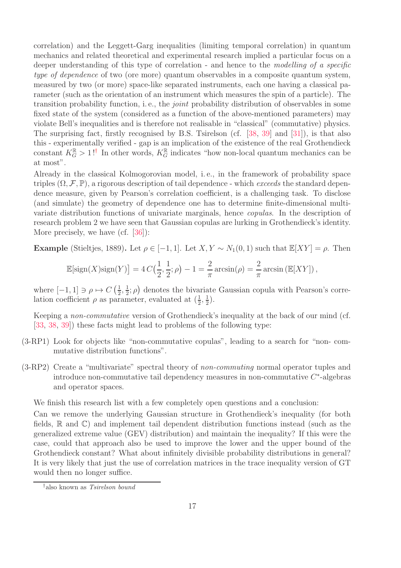correlation) and the Leggett-Garg inequalities (limiting temporal correlation) in quantum mechanics and related theoretical and experimental research implied a particular focus on a deeper understanding of this type of correlation - and hence to the modelling of a specific type of dependence of two (ore more) quantum observables in a composite quantum system, measured by two (or more) space-like separated instruments, each one having a classical parameter (such as the orientation of an instrument which measures the spin of a particle). The transition probability function, i. e., the joint probability distribution of observables in some fixed state of the system (considered as a function of the above-mentioned parameters) may violate Bell's inequalities and is therefore not realisable in "classical" (commutative) physics. The surprising fact, firstly recognised by B.S. Tsirelson (cf. [\[38,](#page-19-11) [39\]](#page-19-12) and [\[31\]](#page-19-3)), is that also this - experimentally verified - gap is an implication of the existence of the real Grothendieck constant  $K_G^{\mathbb{R}} > 1!$ <sup>†</sup> In other words,  $K_G^{\mathbb{R}}$  indicates "how non-local quantum mechanics can be at most".

Already in the classical Kolmogorovian model, i. e., in the framework of probability space triples  $(\Omega, \mathcal{F}, \mathbb{P})$ , a rigorous description of tail dependence - which exceeds the standard dependence measure, given by Pearson's correlation coefficient, is a challenging task. To disclose (and simulate) the geometry of dependence one has to determine finite-dimensional multivariate distribution functions of univariate marginals, hence copulas. In the description of research problem 2 we have seen that Gaussian copulas are lurking in Grothendieck's identity. More precisely, we have (cf. [\[36\]](#page-19-13)):

Example (Stieltjes, 1889). Let  $\rho \in [-1, 1]$ . Let  $X, Y \sim N_1(0, 1)$  such that  $\mathbb{E}[XY] = \rho$ . Then

$$
\mathbb{E}[\text{sign}(X)\text{sign}(Y)] = 4C\left(\frac{1}{2}, \frac{1}{2}; \rho\right) - 1 = \frac{2}{\pi}\arcsin(\rho) = \frac{2}{\pi}\arcsin(\mathbb{E}[XY]),
$$

where  $[-1, 1] \ni \rho \mapsto C\left(\frac{1}{2}\right)$  $\frac{1}{2}, \frac{1}{2}$  $(\frac{1}{2}; \rho)$  denotes the bivariate Gaussian copula with Pearson's correlation coefficient  $\rho$  as parameter, evaluated at  $(\frac{1}{2}, \frac{1}{2})$  $(\frac{1}{2})$ .

Keeping a non-commutative version of Grothendieck's inequality at the back of our mind (cf. [\[33,](#page-19-1) [38,](#page-19-11) [39\]](#page-19-12)) these facts might lead to problems of the following type:

- (3-RP1) Look for objects like "non-commutative copulas", leading to a search for "non- commutative distribution functions".
- (3-RP2) Create a "multivariate" spectral theory of non-commuting normal operator tuples and introduce non-commutative tail dependency measures in non-commutative  $C^*$ -algebras and operator spaces.

We finish this research list with a few completely open questions and a conclusion:

Can we remove the underlying Gaussian structure in Grothendieck's inequality (for both fields,  $\mathbb R$  and  $\mathbb C$ ) and implement tail dependent distribution functions instead (such as the generalized extreme value (GEV) distribution) and maintain the inequality? If this were the case, could that approach also be used to improve the lower and the upper bound of the Grothendieck constant? What about infinitely divisible probability distributions in general? It is very likely that just the use of correlation matrices in the trace inequality version of GT would then no longer suffice.

<span id="page-16-0"></span><sup>†</sup>also known as Tsirelson bound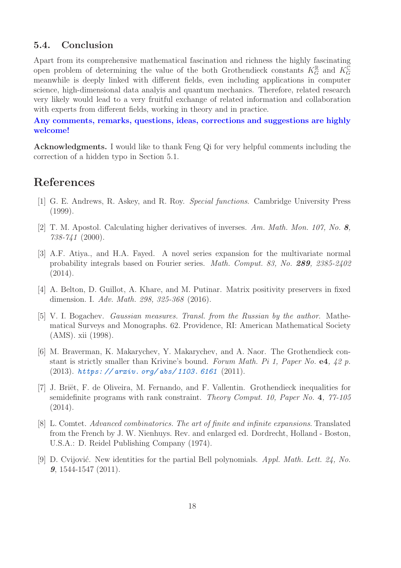#### 5.4. Conclusion

Apart from its comprehensive mathematical fascination and richness the highly fascinating open problem of determining the value of the both Grothendieck constants  $K_G^{\mathbb{R}}$  and  $K_G^{\mathbb{C}}$ meanwhile is deeply linked with different fields, even including applications in computer science, high-dimensional data analyis and quantum mechanics. Therefore, related research very likely would lead to a very fruitful exchange of related information and collaboration with experts from different fields, working in theory and in practice.

Any comments, remarks, questions, ideas, corrections and suggestions are highly welcome!

Acknowledgments. I would like to thank Feng Qi for very helpful comments including the correction of a hidden typo in Section 5.1.

### <span id="page-17-1"></span>References

- <span id="page-17-7"></span>[1] G. E. Andrews, R. Askey, and R. Roy. Special functions. Cambridge University Press (1999).
- <span id="page-17-8"></span>[2] T. M. Apostol. Calculating higher derivatives of inverses. Am. Math. Mon. 107, No. 8, 738-741 (2000).
- [3] A.F. Atiya., and H.A. Fayed. A novel series expansion for the multivariate normal probability integrals based on Fourier series. Math. Comput. 83, No. 289, 2385-2402 (2014).
- <span id="page-17-3"></span>[4] A. Belton, D. Guillot, A. Khare, and M. Putinar. Matrix positivity preservers in fixed dimension. I. Adv. Math. 298, 325-368 (2016).
- <span id="page-17-5"></span>[5] V. I. Bogachev. Gaussian measures. Transl. from the Russian by the author. Mathematical Surveys and Monographs. 62. Providence, RI: American Mathematical Society (AMS). xii (1998).
- <span id="page-17-0"></span>[6] M. Braverman, K. Makarychev, Y. Makarychev, and A. Naor. The Grothendieck constant is strictly smaller than Krivine's bound. Forum Math. Pi 1, Paper No. e4,  $\frac{1}{2}$  p. (2013). *[https: // arxiv. org/ abs/ 1103. 6161](https://arxiv.org/abs/1103.6161)* (2011).
- <span id="page-17-2"></span>[7] J. Briët, F. de Oliveira, M. Fernando, and F. Vallentin. Grothendieck inequalities for semidefinite programs with rank constraint. Theory Comput. 10, Paper No. 4, 77-105  $(2014).$
- <span id="page-17-4"></span>[8] L. Comtet. Advanced combinatorics. The art of finite and infinite expansions. Translated from the French by J. W. Nienhuys. Rev. and enlarged ed. Dordrecht, Holland - Boston, U.S.A.: D. Reidel Publishing Company (1974).
- <span id="page-17-6"></span>[9] D. Cvijović. New identities for the partial Bell polynomials. Appl. Math. Lett.  $24$ , No. 9, 1544-1547 (2011).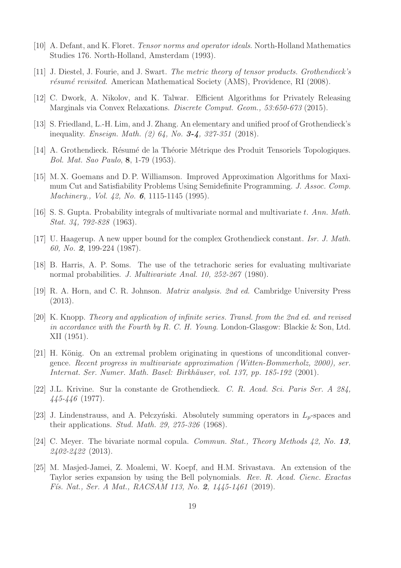- <span id="page-18-2"></span><span id="page-18-1"></span>[10] A. Defant, and K. Floret. Tensor norms and operator ideals. North-Holland Mathematics Studies 176. North-Holland, Amsterdam (1993).
- <span id="page-18-4"></span>[11] J. Diestel, J. Fourie, and J. Swart. The metric theory of tensor products. Grothendieck's résumé revisited. American Mathematical Society (AMS), Providence, RI (2008).
- <span id="page-18-6"></span>[12] C. Dwork, A. Nikolov, and K. Talwar. Efficient Algorithms for Privately Releasing Marginals via Convex Relaxations. Discrete Comput. Geom., 53:650-673 (2015).
- <span id="page-18-0"></span>[13] S. Friedland, L.-H. Lim, and J. Zhang. An elementary and unified proof of Grothendieck's inequality. Enseign. Math. (2) 64, No. 3-4, 327-351 (2018).
- <span id="page-18-3"></span>[14] A. Grothendieck. Résumé de la Théorie Métrique des Produit Tensoriels Topologiques. Bol. Mat. Sao Paulo, 8, 1-79 (1953).
- [15] M. X. Goemans and D. P. Williamson. Improved Approximation Algorithms for Maximum Cut and Satisfiability Problems Using Semidefinite Programming. J. Assoc. Comp. Machinery., *Vol. 42, No. 6*, 1115-1145 (1995).
- <span id="page-18-13"></span><span id="page-18-9"></span>[16] S. S. Gupta. Probability integrals of multivariate normal and multivariate t. Ann. Math. Stat. 34, 792-828 (1963).
- [17] U. Haagerup. A new upper bound for the complex Grothendieck constant. Isr. J. Math. 60, No. 2, 199-224 (1987).
- [18] B. Harris, A. P. Soms. The use of the tetrachoric series for evaluating multivariate normal probabilities. J. Multivariate Anal. 10, 252-267 (1980).
- <span id="page-18-11"></span><span id="page-18-8"></span>[19] R. A. Horn, and C. R. Johnson. Matrix analysis. 2nd ed. Cambridge University Press (2013).
- [20] K. Knopp. Theory and application of infinite series. Transl. from the 2nd ed. and revised in accordance with the Fourth by R. C. H. Young. London-Glasgow: Blackie & Son, Ltd. XII (1951).
- <span id="page-18-10"></span>[21] H. König. On an extremal problem originating in questions of unconditional convergence. Recent progress in multivariate approximation (Witten-Bommerholz, 2000), ser. Internat. Ser. Numer. Math. Basel: Birkhäuser, vol. 137, pp. 185-192 (2001).
- <span id="page-18-7"></span>[22] J.L. Krivine. Sur la constante de Grothendieck. C. R. Acad. Sci. Paris Ser. A 284, 445-446 (1977).
- <span id="page-18-5"></span>[23] J. Lindenstrauss, and A. Pełczyński. Absolutely summing operators in  $L_p$ -spaces and their applications. Stud. Math. 29, 275-326 (1968).
- <span id="page-18-14"></span>[24] C. Meyer. The bivariate normal copula. *Commun. Stat.*, *Theory Methods 42*, *No.* 13, 2402-2422 (2013).
- <span id="page-18-12"></span>[25] M. Masjed-Jamei, Z. Moalemi, W. Koepf, and H.M. Srivastava. An extension of the Taylor series expansion by using the Bell polynomials. Rev. R. Acad. Cienc. Exactas Fís. Nat., Ser. A Mat., RACSAM 113, No. 2, 1445-1461 (2019).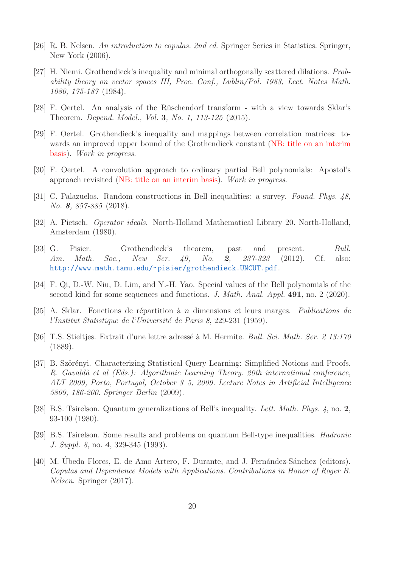- <span id="page-19-8"></span><span id="page-19-2"></span>[26] R. B. Nelsen. An introduction to copulas. 2nd ed. Springer Series in Statistics. Springer, New York (2006).
- [27] H. Niemi. Grothendieck's inequality and minimal orthogonally scattered dilations. Probability theory on vector spaces III, Proc. Conf., Lublin/Pol. 1983, Lect. Notes Math. 1080, 175-187 (1984).
- <span id="page-19-10"></span>[28] F. Oertel. An analysis of the Rüschendorf transform - with a view towards Sklar's Theorem. Depend. Model., Vol. 3, No. 1, 113-125 (2015).
- [29] F. Oertel. Grothendieck's inequality and mappings between correlation matrices: towards an improved upper bound of the Grothendieck constant (NB: title on an interim basis). Work in progress.
- <span id="page-19-5"></span><span id="page-19-3"></span>[30] F. Oertel. A convolution approach to ordinary partial Bell polynomials: Apostol's approach revisited (NB: title on an interim basis). Work in progress.
- <span id="page-19-0"></span>[31] C. Palazuelos. Random constructions in Bell inequalities: a survey. Found. Phys. 48, No. 8, 857-885 (2018).
- <span id="page-19-1"></span>[32] A. Pietsch. Operator ideals. North-Holland Mathematical Library 20. North-Holland, Amsterdam (1980).
- [33] G. Pisier. Grothendieck's theorem, past and present. Bull. Am. Math. Soc., New Ser. 49, No. 2, 237-323 (2012). Cf. also: <http://www.math.tamu.edu/~pisier/grothendieck.UNCUT.pdf>.
- <span id="page-19-7"></span><span id="page-19-6"></span>[34] F. Qi, D.-W. Niu, D. Lim, and Y.-H. Yao. Special values of the Bell polynomials of the second kind for some sequences and functions. J. Math. Anal. Appl. 491, no. 2 (2020).
- [35] A. Sklar. Fonctions de répartition à  $n$  dimensions et leurs marges. Publications de l'Institut Statistique de l'Université de Paris 8, 229-231 (1959).
- <span id="page-19-13"></span>[36] T.S. Stieltjes. Extrait d'une lettre adressé à M. Hermite. *Bull. Sci. Math. Ser. 2 13:170* (1889).
- <span id="page-19-4"></span>[37] B. Szörényi. Characterizing Statistical Query Learning: Simplified Notions and Proofs. R. Gavaldà et al (Eds.): Algorithmic Learning Theory. 20th international conference, ALT 2009, Porto, Portugal, October 3–5, 2009. Lecture Notes in Artificial Intelligence 5809, 186-200. Springer Berlin (2009).
- <span id="page-19-11"></span>[38] B.S. Tsirelson. Quantum generalizations of Bell's inequality. Lett. Math. Phys. 4, no. 2, 93-100 (1980).
- <span id="page-19-12"></span>[39] B.S. Tsirelson. Some results and problems on quantum Bell-type inequalities. Hadronic J. Suppl. 8, no. 4, 329-345 (1993).
- <span id="page-19-9"></span>[40] M. Úbeda Flores, E. de Amo Artero, F. Durante, and J. Fernández-Sánchez (editors). Copulas and Dependence Models with Applications. Contributions in Honor of Roger B. Nelsen. Springer (2017).